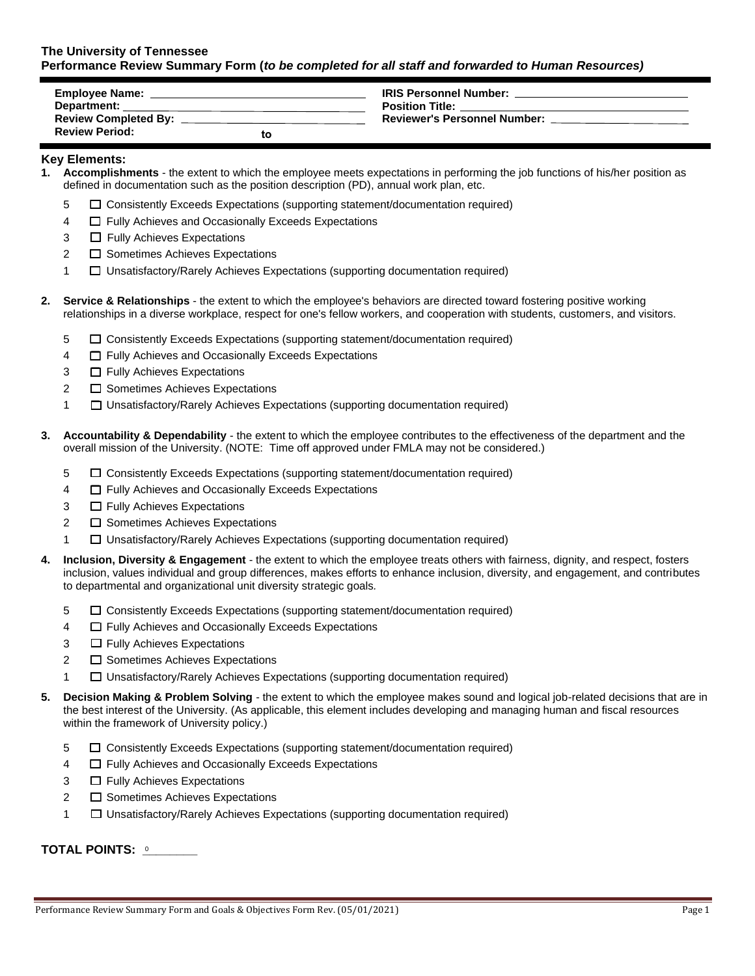## **The University of Tennessee Performance Review Summary Form (***to be completed for all staff and forwarded to Human Resources)*

| <b>Employee Name:</b>       |    | <b>IRIS Personnel Number:</b>       |
|-----------------------------|----|-------------------------------------|
| Department:                 |    | <b>Position Title:</b>              |
| <b>Review Completed By:</b> |    | <b>Reviewer's Personnel Number:</b> |
| <b>Review Period:</b>       | tc |                                     |

#### **Key Elements:**

- **1. Accomplishments** the extent to which the employee meets expectations in performing the job functions of his/her position as defined in documentation such as the position description (PD), annual work plan, etc.
	- 5 ☐ Consistently Exceeds Expectations (supporting statement/documentation required)
	- 4 ☐ Fully Achieves and Occasionally Exceeds Expectations
	- 3 □ Fully Achieves Expectations
	- 2 <del>□</del> Sometimes Achieves Expectations
	- 1 ☐ Unsatisfactory/Rarely Achieves Expectations (supporting documentation required)
- **2. Service & Relationships** the extent to which the employee's behaviors are directed toward fostering positive working relationships in a diverse workplace, respect for one's fellow workers, and cooperation with students, customers, and visitors.
	- 5 ☐ Consistently Exceeds Expectations (supporting statement/documentation required)
	- 4 ☐ Fully Achieves and Occasionally Exceeds Expectations
	- 3 □ Fully Achieves Expectations
	- 2 <del>□</del> Sometimes Achieves Expectations
	- 1 ☐ Unsatisfactory/Rarely Achieves Expectations (supporting documentation required)
- **3. Accountability & Dependability** the extent to which the employee contributes to the effectiveness of the department and the overall mission of the University. (NOTE: Time off approved under FMLA may not be considered.)
	- 5 ☐ Consistently Exceeds Expectations (supporting statement/documentation required)
	- 4 ☐ Fully Achieves and Occasionally Exceeds Expectations
	- 3 □ Fully Achieves Expectations
	- 2 <del>□</del> Sometimes Achieves Expectations
	- 1 ☐ Unsatisfactory/Rarely Achieves Expectations (supporting documentation required)
- **4. Inclusion, Diversity & Engagement** the extent to which the employee treats others with fairness, dignity, and respect, fosters inclusion, values individual and group differences, makes efforts to enhance inclusion, diversity, and engagement, and contributes to departmental and organizational unit diversity strategic goals*.*
	- 5 ☐ Consistently Exceeds Expectations (supporting statement/documentation required)
	- 4 ☐ Fully Achieves and Occasionally Exceeds Expectations
	- 3 □ Fully Achieves Expectations
	- 2 <del>□</del> Sometimes Achieves Expectations
	- 1 ☐ Unsatisfactory/Rarely Achieves Expectations (supporting documentation required)
- **5. Decision Making & Problem Solving** the extent to which the employee makes sound and logical job-related decisions that are in the best interest of the University. (As applicable, this element includes developing and managing human and fiscal resources within the framework of University policy.)
	- 5 ☐ Consistently Exceeds Expectations (supporting statement/documentation required)
	- 4 ☐ Fully Achieves and Occasionally Exceeds Expectations
	- 3 □ Fully Achieves Expectations
	- 2 <del>□</del> Sometimes Achieves Expectations
	- 1 ☐ Unsatisfactory/Rarely Achieves Expectations (supporting documentation required)

**TOTAL POINTS: \_\_\_\_\_\_\_\_**  0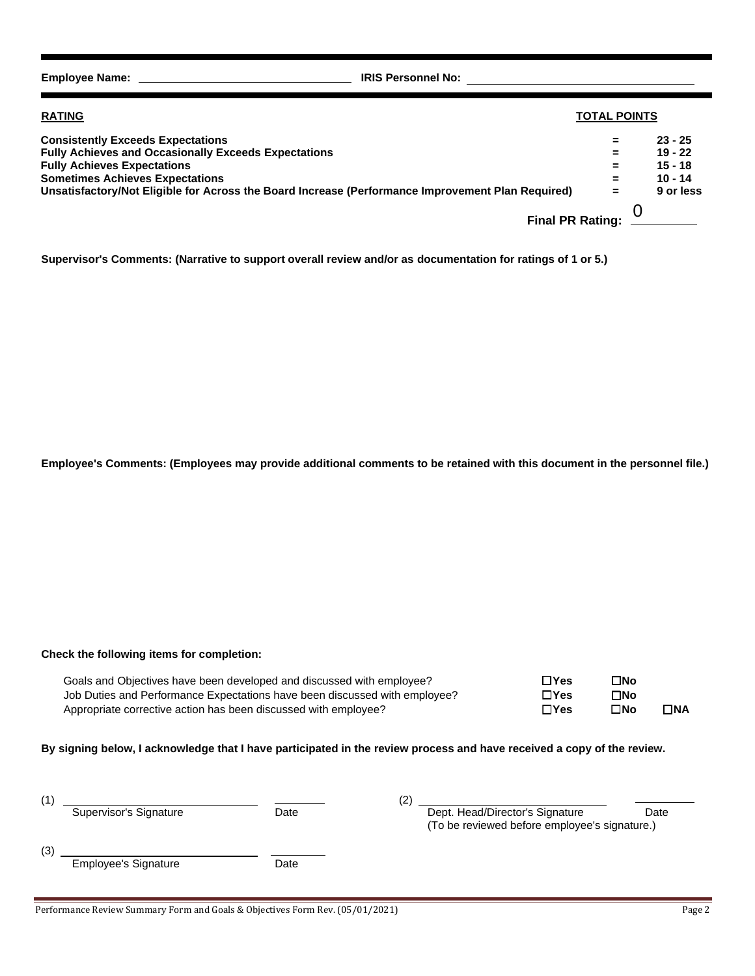**Employee Name: IRIS Personnel No:**

| <b>RATING</b>                                                                                     | <b>TOTAL POINTS</b>  |           |
|---------------------------------------------------------------------------------------------------|----------------------|-----------|
| <b>Consistently Exceeds Expectations</b>                                                          | $\equiv$             | $23 - 25$ |
| <b>Fully Achieves and Occasionally Exceeds Expectations</b>                                       | $\equiv$             | $19 - 22$ |
| <b>Fully Achieves Expectations</b>                                                                | $\equiv$             | $15 - 18$ |
| <b>Sometimes Achieves Expectations</b>                                                            | $=$                  | $10 - 14$ |
| Unsatisfactory/Not Eligible for Across the Board Increase (Performance Improvement Plan Required) | $\equiv$             | 9 or less |
|                                                                                                   | Final PR Rating: $0$ |           |

**Supervisor's Comments: (Narrative to support overall review and/or as documentation for ratings of 1 or 5.)**

**Employee's Comments: (Employees may provide additional comments to be retained with this document in the personnel file.)**

## **Check the following items for completion:**

| Goals and Objectives have been developed and discussed with employee?      | $\Box$ Yes  | $\square$ No |              |
|----------------------------------------------------------------------------|-------------|--------------|--------------|
| Job Duties and Performance Expectations have been discussed with employee? | $\Box$ Yes  | ΠNo          |              |
| Appropriate corrective action has been discussed with employee?            | $\Box Y$ es | ⊡No          | $\square$ NA |

### **By signing below, I acknowledge that I have participated in the review process and have received a copy of the review.**

|     |                             | '2)  |  |                                                                                  |      |
|-----|-----------------------------|------|--|----------------------------------------------------------------------------------|------|
|     | Supervisor's Signature      | Date |  | Dept. Head/Director's Signature<br>(To be reviewed before employee's signature.) | Date |
|     |                             |      |  |                                                                                  |      |
| (3) |                             |      |  |                                                                                  |      |
|     | <b>Employee's Signature</b> | Date |  |                                                                                  |      |